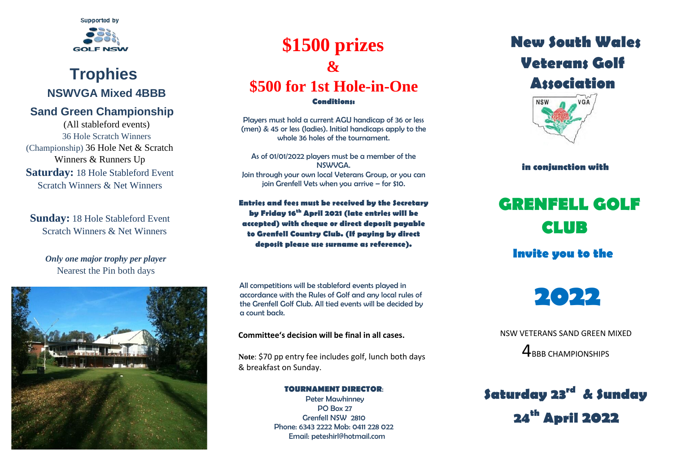

### **Trophies NSWVGA Mixed 4BBB**

### **Sand Green Championship**

(All stableford events) 36 Hole Scratch Winners (Championship) 36 Hole Net & Scratch Winners & Runners Up **Saturday:** 18 Hole Stableford Event Scratch Winners & Net Winners

**Sunday:** 18 Hole Stableford Event Scratch Winners & Net Winners

#### *Only one major trophy per player* Nearest the Pin both days



## **\$1500 prizes & \$500 for 1st Hole-in-One**

**Conditions:** 

Players must hold a current AGU handicap of 36 or less (men) & 45 or less (ladies). Initial handicaps apply to the whole 36 holes of the tournament.

As of 01/01/2022 players must be a member of the NSWVGA. Join through your own local Veterans Group, or you can join Grenfell Vets when you arrive – for \$10.

**Entries and fees must be received by the Secretary by Friday 16th April 2021 (late entries will be accepted) with cheque or direct deposit payable to Grenfell Country Club. (If paying by direct deposit please use surname as reference).**

All competitions will be stableford events played in accordance with the Rules of Golf and any local rules of the Grenfell Golf Club. All tied events will be decided by a count back.

**Committee's decision will be final in all cases.**

**Note**: \$70 pp entry fee includes golf, lunch both days & breakfast on Sunday.

> **TOURNAMENT DIRECTOR**: Peter Mawhinney PO Box 27 Grenfell NSW 2810 Phone: 6343 2222 Mob: 0411 228 022 Email: peteshirl@hotmail.com

## **New South Wales Veterans Golf Association**



 **in conjunction with** 

# **GRENFELL GOLF CLUB**

**Invite you to the** 



 NSW VETERANS SAND GREEN MIXED 4BBB CHAMPIONSHIPS